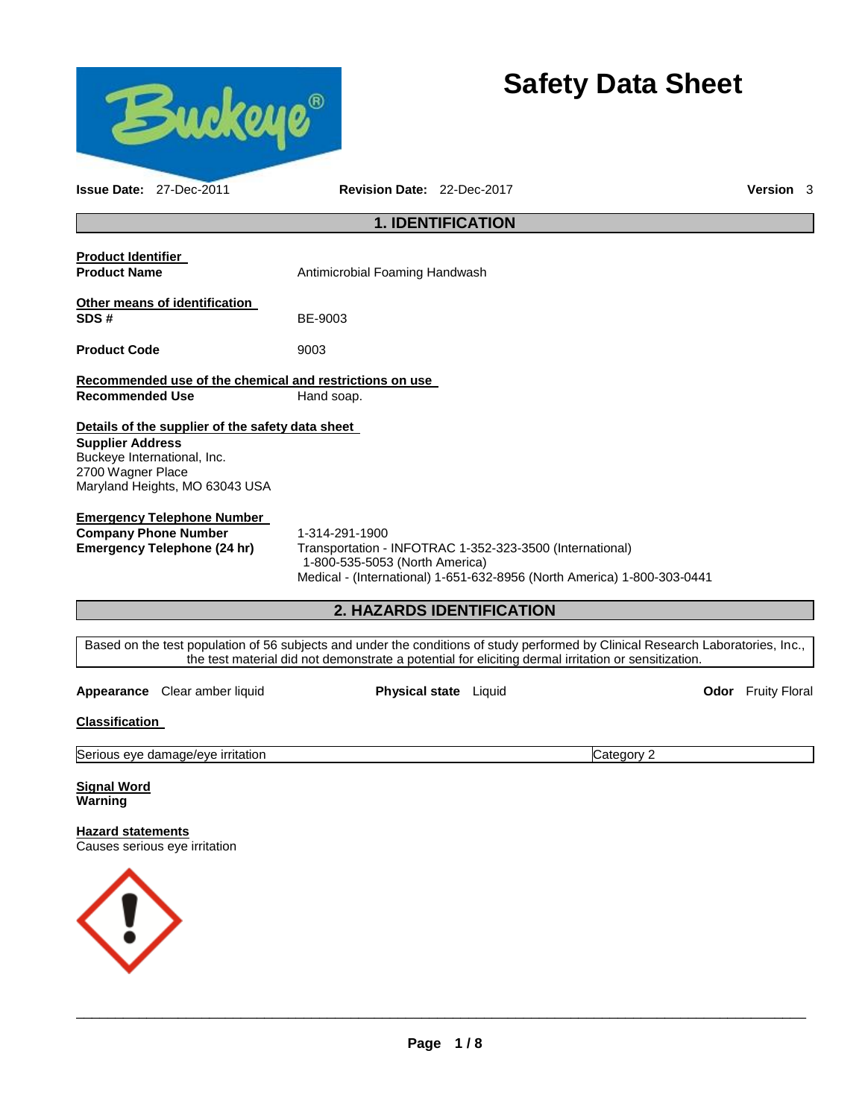

# **Safety Data Sheet**

| <b>Issue Date: 27-Dec-2011</b>                                                                                                                                                                                                                                              | <b>Revision Date: 22-Dec-2017</b>                                                                   |                           |                                                                         | Version 3                 |
|-----------------------------------------------------------------------------------------------------------------------------------------------------------------------------------------------------------------------------------------------------------------------------|-----------------------------------------------------------------------------------------------------|---------------------------|-------------------------------------------------------------------------|---------------------------|
|                                                                                                                                                                                                                                                                             |                                                                                                     | <b>1. IDENTIFICATION</b>  |                                                                         |                           |
| <b>Product Identifier</b><br><b>Product Name</b>                                                                                                                                                                                                                            | Antimicrobial Foaming Handwash                                                                      |                           |                                                                         |                           |
| Other means of identification<br>SDS#                                                                                                                                                                                                                                       | BE-9003                                                                                             |                           |                                                                         |                           |
| <b>Product Code</b>                                                                                                                                                                                                                                                         | 9003                                                                                                |                           |                                                                         |                           |
| Recommended use of the chemical and restrictions on use<br><b>Recommended Use</b>                                                                                                                                                                                           | Hand soap.                                                                                          |                           |                                                                         |                           |
| Details of the supplier of the safety data sheet<br><b>Supplier Address</b><br>Buckeye International, Inc.<br>2700 Wagner Place<br>Maryland Heights, MO 63043 USA<br><b>Emergency Telephone Number</b><br><b>Company Phone Number</b><br><b>Emergency Telephone (24 hr)</b> | 1-314-291-1900<br>Transportation - INFOTRAC 1-352-323-3500 (International)                          |                           |                                                                         |                           |
|                                                                                                                                                                                                                                                                             | 1-800-535-5053 (North America)                                                                      |                           | Medical - (International) 1-651-632-8956 (North America) 1-800-303-0441 |                           |
|                                                                                                                                                                                                                                                                             |                                                                                                     | 2. HAZARDS IDENTIFICATION |                                                                         |                           |
| Based on the test population of 56 subjects and under the conditions of study performed by Clinical Research Laboratories, Inc.,                                                                                                                                            | the test material did not demonstrate a potential for eliciting dermal irritation or sensitization. |                           |                                                                         |                           |
| Appearance Clear amber liquid                                                                                                                                                                                                                                               |                                                                                                     | Physical state Liquid     |                                                                         | <b>Odor</b> Fruity Floral |
| <b>Classification</b>                                                                                                                                                                                                                                                       |                                                                                                     |                           |                                                                         |                           |
| Serious eye damage/eye irritation                                                                                                                                                                                                                                           |                                                                                                     |                           | Category 2                                                              |                           |
| <b>Signal Word</b><br>Warning                                                                                                                                                                                                                                               |                                                                                                     |                           |                                                                         |                           |
| <b>Hazard statements</b><br>Causes serious eye irritation                                                                                                                                                                                                                   |                                                                                                     |                           |                                                                         |                           |
|                                                                                                                                                                                                                                                                             |                                                                                                     |                           |                                                                         |                           |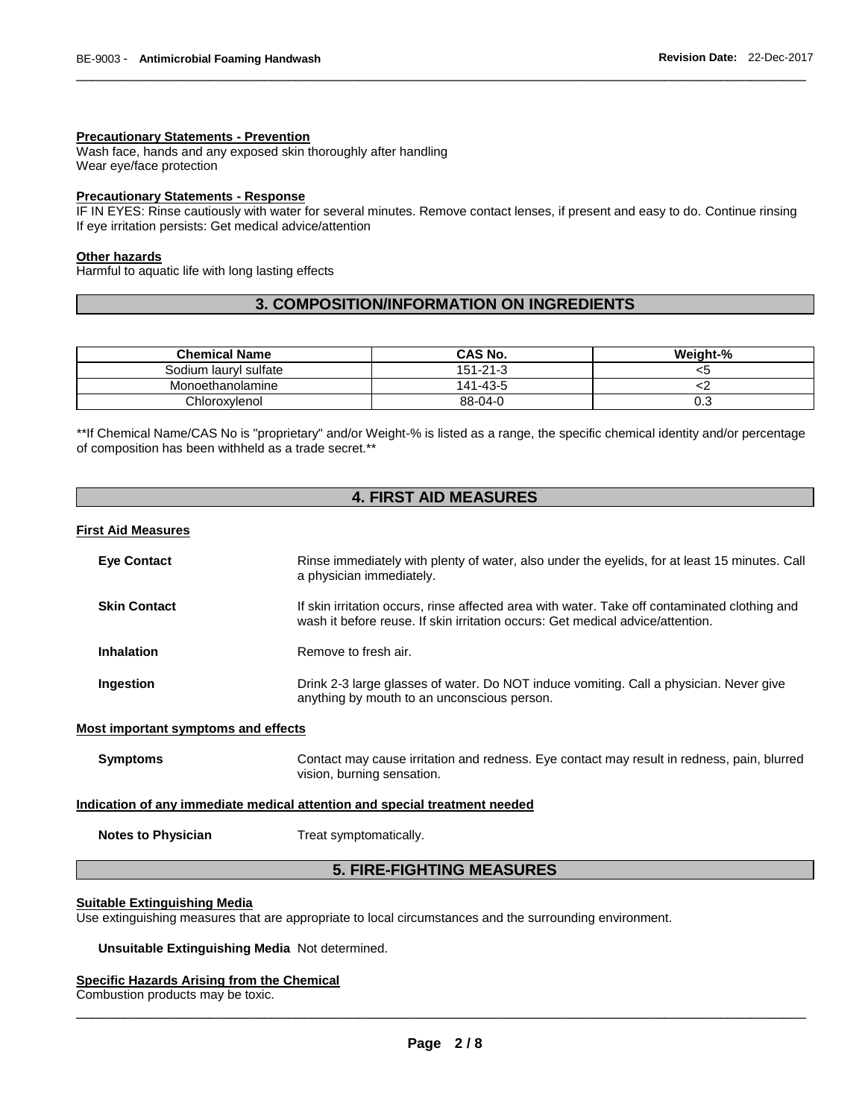#### **Precautionary Statements - Prevention**

Wash face, hands and any exposed skin thoroughly after handling Wear eye/face protection

#### **Precautionary Statements - Response**

IF IN EYES: Rinse cautiously with water for several minutes. Remove contact lenses, if present and easy to do. Continue rinsing If eye irritation persists: Get medical advice/attention

\_\_\_\_\_\_\_\_\_\_\_\_\_\_\_\_\_\_\_\_\_\_\_\_\_\_\_\_\_\_\_\_\_\_\_\_\_\_\_\_\_\_\_\_\_\_\_\_\_\_\_\_\_\_\_\_\_\_\_\_\_\_\_\_\_\_\_\_\_\_\_\_\_\_\_\_\_\_\_\_\_\_\_\_\_\_\_\_\_\_\_\_\_

#### **Other hazards**

Harmful to aquatic life with long lasting effects

### **3. COMPOSITION/INFORMATION ON INGREDIENTS**

| <b>Chemical Name</b>  | CAS No.        | Weiaht-% |
|-----------------------|----------------|----------|
| Sodium laurvl sulfate | $151 - 21 - 3$ |          |
| Monoethanolamine      | 141-43-5       |          |
| Chloroxvlenol         | 88-04-0        | ∪.∪      |

\*\*If Chemical Name/CAS No is "proprietary" and/or Weight-% is listed as a range, the specific chemical identity and/or percentage of composition has been withheld as a trade secret.\*\*

# **4. FIRST AID MEASURES**

#### **First Aid Measures**

| <b>Eye Contact</b>  | Rinse immediately with plenty of water, also under the eyelids, for at least 15 minutes. Call<br>a physician immediately.                                                       |
|---------------------|---------------------------------------------------------------------------------------------------------------------------------------------------------------------------------|
| <b>Skin Contact</b> | If skin irritation occurs, rinse affected area with water. Take off contaminated clothing and<br>wash it before reuse. If skin irritation occurs: Get medical advice/attention. |
| <b>Inhalation</b>   | Remove to fresh air.                                                                                                                                                            |
| Ingestion           | Drink 2-3 large glasses of water. Do NOT induce vomiting. Call a physician. Never give<br>anything by mouth to an unconscious person.                                           |

#### **Most important symptoms and effects**

**Symptoms Contact may cause irritation and redness. Eye contact may result in redness, pain, blurred** vision, burning sensation.

#### **Indication of any immediate medical attention and special treatment needed**

**Notes to Physician**  Treat symptomatically.

### **5. FIRE-FIGHTING MEASURES**

#### **Suitable Extinguishing Media**

Use extinguishing measures that are appropriate to local circumstances and the surrounding environment.

**Unsuitable Extinguishing Media** Not determined.

#### **Specific Hazards Arising from the Chemical**

Combustion products may be toxic.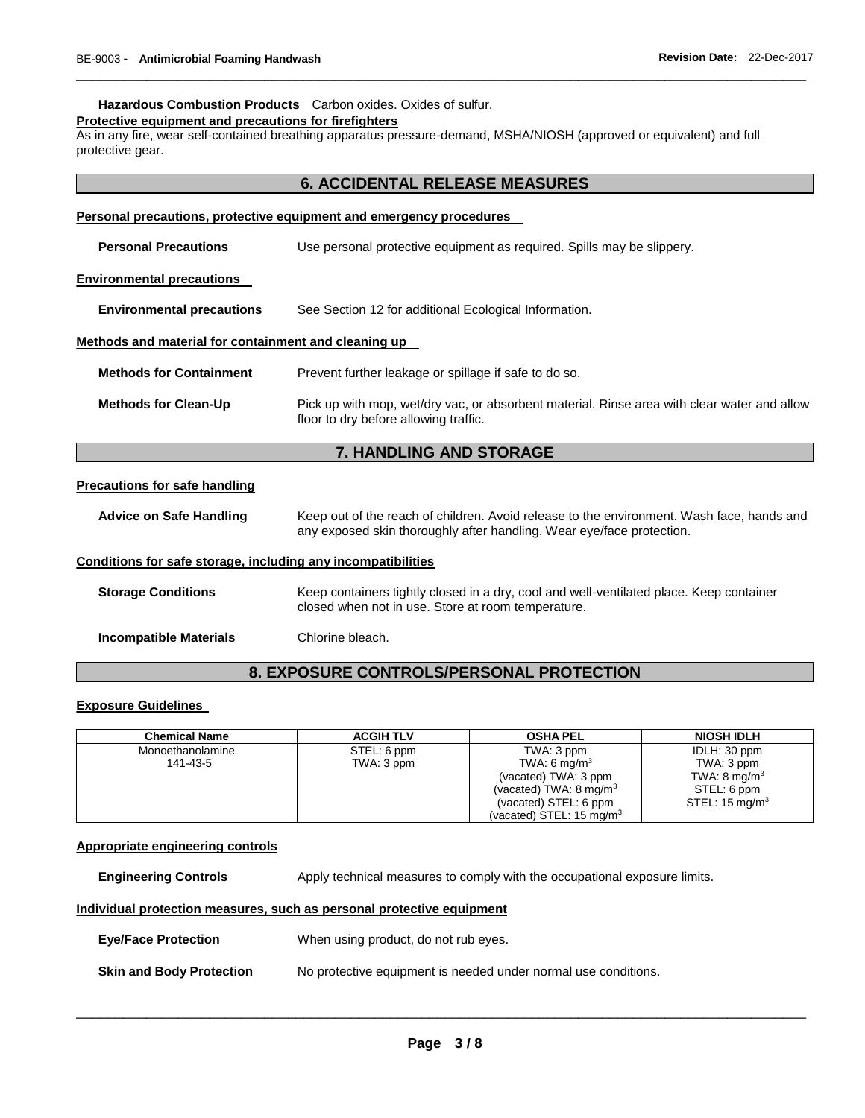#### **Hazardous Combustion Products** Carbon oxides. Oxides of sulfur.

### **Protective equipment and precautions for firefighters**

As in any fire, wear self-contained breathing apparatus pressure-demand, MSHA/NIOSH (approved or equivalent) and full protective gear.

\_\_\_\_\_\_\_\_\_\_\_\_\_\_\_\_\_\_\_\_\_\_\_\_\_\_\_\_\_\_\_\_\_\_\_\_\_\_\_\_\_\_\_\_\_\_\_\_\_\_\_\_\_\_\_\_\_\_\_\_\_\_\_\_\_\_\_\_\_\_\_\_\_\_\_\_\_\_\_\_\_\_\_\_\_\_\_\_\_\_\_\_\_

|                                                              | <b>6. ACCIDENTAL RELEASE MEASURES</b>                                                                                                                              |
|--------------------------------------------------------------|--------------------------------------------------------------------------------------------------------------------------------------------------------------------|
|                                                              | <b>Personal precautions, protective equipment and emergency procedures</b>                                                                                         |
| <b>Personal Precautions</b>                                  | Use personal protective equipment as required. Spills may be slippery.                                                                                             |
| <b>Environmental precautions</b>                             |                                                                                                                                                                    |
| <b>Environmental precautions</b>                             | See Section 12 for additional Ecological Information.                                                                                                              |
| Methods and material for containment and cleaning up         |                                                                                                                                                                    |
| <b>Methods for Containment</b>                               | Prevent further leakage or spillage if safe to do so.                                                                                                              |
| <b>Methods for Clean-Up</b>                                  | Pick up with mop, wet/dry vac, or absorbent material. Rinse area with clear water and allow<br>floor to dry before allowing traffic.                               |
|                                                              | <b>7. HANDLING AND STORAGE</b>                                                                                                                                     |
|                                                              |                                                                                                                                                                    |
| <b>Precautions for safe handling</b>                         |                                                                                                                                                                    |
| <b>Advice on Safe Handling</b>                               | Keep out of the reach of children. Avoid release to the environment. Wash face, hands and<br>any exposed skin thoroughly after handling. Wear eye/face protection. |
| Conditions for safe storage, including any incompatibilities |                                                                                                                                                                    |
| <b>Storage Conditions</b>                                    | Keep containers tightly closed in a dry, cool and well-ventilated place. Keep container<br>closed when not in use. Store at room temperature.                      |

# **8. EXPOSURE CONTROLS/PERSONAL PROTECTION**

#### **Exposure Guidelines**

| <b>Chemical Name</b> | <b>ACGIH TLV</b> | <b>OSHA PEL</b>                   | <b>NIOSH IDLH</b>         |
|----------------------|------------------|-----------------------------------|---------------------------|
| Monoethanolamine     | STEL: 6 ppm      | TWA: 3 ppm                        | IDLH: 30 ppm              |
| 141-43-5             | TWA: 3 ppm       | TWA: 6 mg/m <sup>3</sup>          | TWA: 3 ppm                |
|                      |                  | (vacated) TWA: 3 ppm              | TWA: $8 \text{ mg/m}^3$   |
|                      |                  | (vacated) TWA: $8 \text{ mg/m}^3$ | STEL: 6 ppm               |
|                      |                  | (vacated) STEL: 6 ppm             | STEL: $15 \text{ ma/m}^3$ |
|                      |                  | (vacated) STEL: 15 mg/m $3$       |                           |

#### **Appropriate engineering controls**

**Engineering Controls** Apply technical measures to comply with the occupational exposure limits.

#### **Individual protection measures, such as personal protective equipment**

| <b>Eye/Face Protection</b> | When using product, do not rub eyes. |
|----------------------------|--------------------------------------|
|----------------------------|--------------------------------------|

**Skin and Body Protection** No protective equipment is needed under normal use conditions.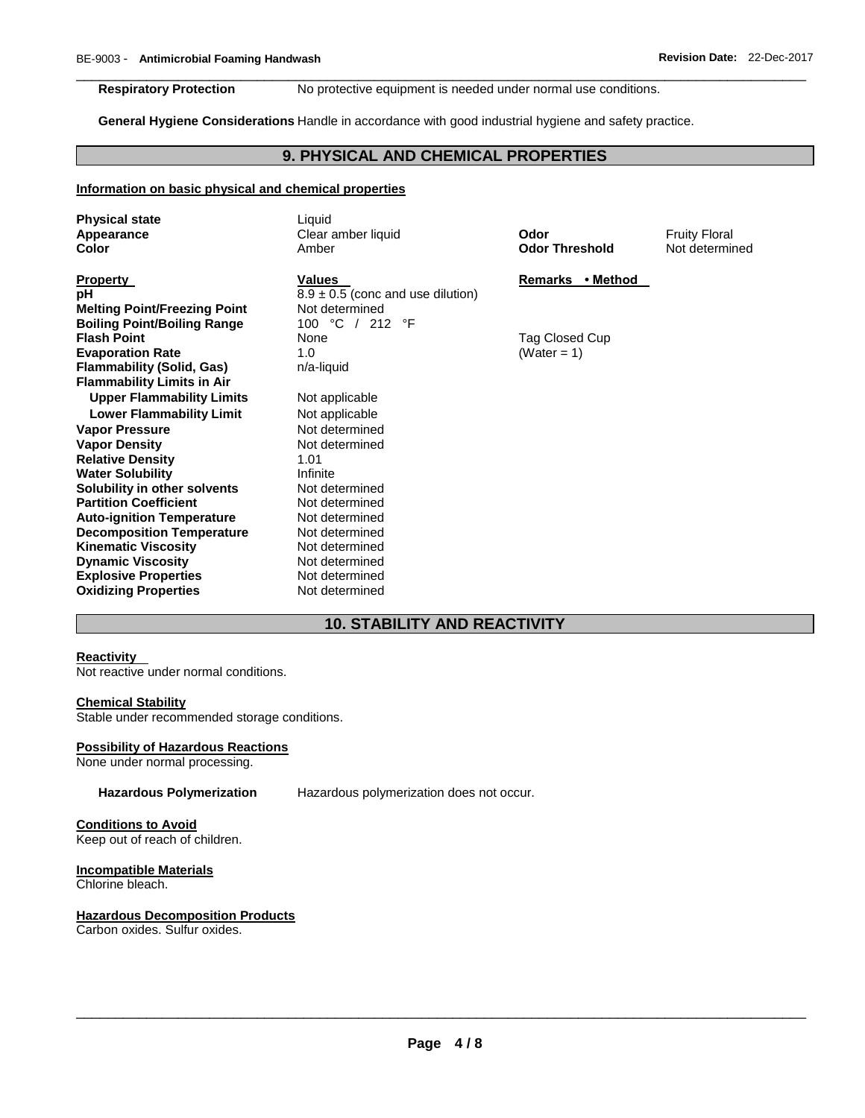**Respiratory Protection** No protective equipment is needed under normal use conditions.

**General Hygiene Considerations** Handle in accordance with good industrial hygiene and safety practice.

# **9. PHYSICAL AND CHEMICAL PROPERTIES**

\_\_\_\_\_\_\_\_\_\_\_\_\_\_\_\_\_\_\_\_\_\_\_\_\_\_\_\_\_\_\_\_\_\_\_\_\_\_\_\_\_\_\_\_\_\_\_\_\_\_\_\_\_\_\_\_\_\_\_\_\_\_\_\_\_\_\_\_\_\_\_\_\_\_\_\_\_\_\_\_\_\_\_\_\_\_\_\_\_\_\_\_\_

#### **Information on basic physical and chemical properties**

| <b>Physical state</b><br>Appearance<br>Color               | Liquid<br>Clear amber liquid<br>Amber                   | Odor<br><b>Odor Threshold</b> | <b>Fruity Floral</b><br>Not determined |
|------------------------------------------------------------|---------------------------------------------------------|-------------------------------|----------------------------------------|
| <b>Property</b><br>рH                                      | <b>Values</b>                                           | Remarks • Method              |                                        |
| <b>Melting Point/Freezing Point</b>                        | $8.9 \pm 0.5$ (conc and use dilution)<br>Not determined |                               |                                        |
| <b>Boiling Point/Boiling Range</b>                         | 100 °C / 212 °F                                         |                               |                                        |
| <b>Flash Point</b>                                         | None                                                    | Tag Closed Cup                |                                        |
| <b>Evaporation Rate</b>                                    | 1.0                                                     | (Water = 1)                   |                                        |
| <b>Flammability (Solid, Gas)</b>                           | n/a-liquid                                              |                               |                                        |
| <b>Flammability Limits in Air</b>                          |                                                         |                               |                                        |
| <b>Upper Flammability Limits</b>                           | Not applicable                                          |                               |                                        |
| <b>Lower Flammability Limit</b>                            | Not applicable                                          |                               |                                        |
| <b>Vapor Pressure</b>                                      | Not determined                                          |                               |                                        |
| <b>Vapor Density</b>                                       | Not determined                                          |                               |                                        |
| <b>Relative Density</b>                                    | 1.01                                                    |                               |                                        |
| <b>Water Solubility</b>                                    | Infinite                                                |                               |                                        |
| Solubility in other solvents                               | Not determined                                          |                               |                                        |
| <b>Partition Coefficient</b>                               | Not determined                                          |                               |                                        |
| <b>Auto-ignition Temperature</b>                           | Not determined                                          |                               |                                        |
| <b>Decomposition Temperature</b>                           | Not determined                                          |                               |                                        |
| <b>Kinematic Viscosity</b>                                 | Not determined                                          |                               |                                        |
| <b>Dynamic Viscosity</b>                                   | Not determined                                          |                               |                                        |
| <b>Explosive Properties</b><br><b>Oxidizing Properties</b> | Not determined<br>Not determined                        |                               |                                        |
|                                                            |                                                         |                               |                                        |

# **10. STABILITY AND REACTIVITY**

#### **Reactivity**

Not reactive under normal conditions.

#### **Chemical Stability**

Stable under recommended storage conditions.

#### **Possibility of Hazardous Reactions**

None under normal processing.

**Hazardous Polymerization** Hazardous polymerization does not occur.

#### **Conditions to Avoid** Keep out of reach of children.

**Incompatible Materials**

Chlorine bleach.

#### **Hazardous Decomposition Products**

Carbon oxides. Sulfur oxides.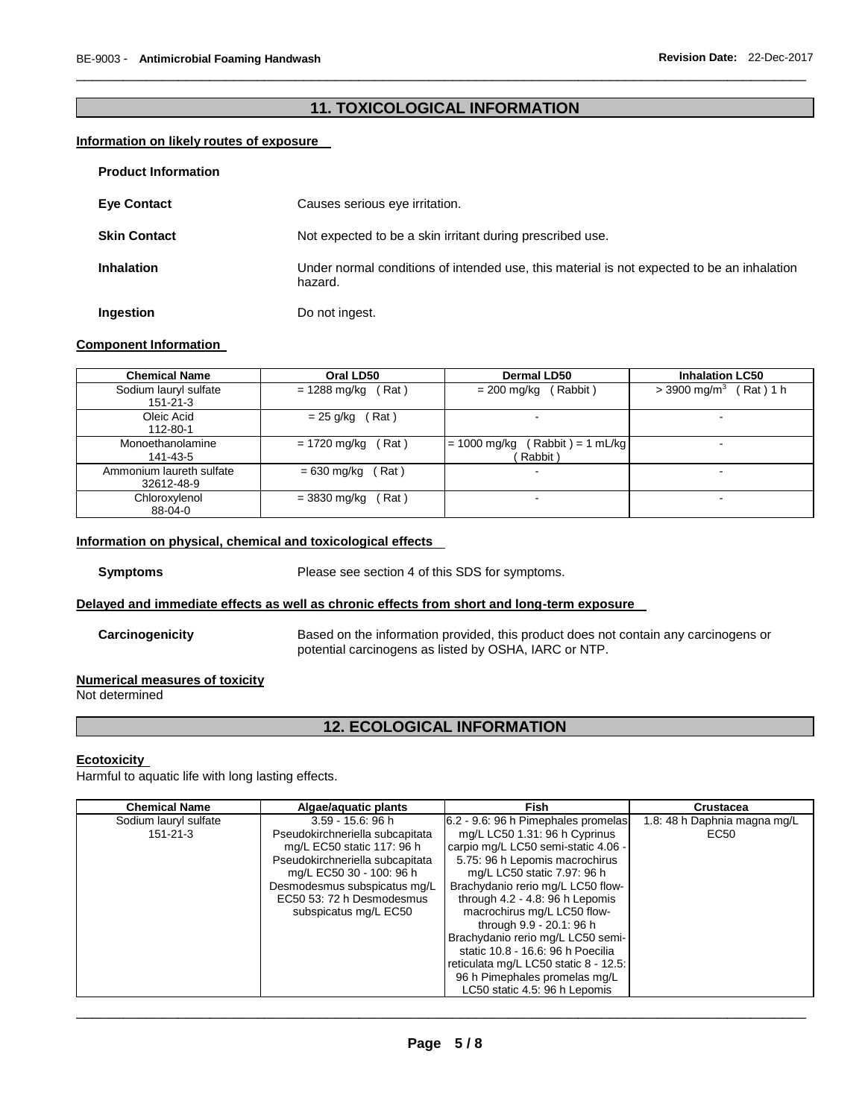# **11. TOXICOLOGICAL INFORMATION**

\_\_\_\_\_\_\_\_\_\_\_\_\_\_\_\_\_\_\_\_\_\_\_\_\_\_\_\_\_\_\_\_\_\_\_\_\_\_\_\_\_\_\_\_\_\_\_\_\_\_\_\_\_\_\_\_\_\_\_\_\_\_\_\_\_\_\_\_\_\_\_\_\_\_\_\_\_\_\_\_\_\_\_\_\_\_\_\_\_\_\_\_\_

#### **Information on likely routes of exposure**

| <b>Product Information</b> |                                                                                                       |
|----------------------------|-------------------------------------------------------------------------------------------------------|
| <b>Eve Contact</b>         | Causes serious eye irritation.                                                                        |
| <b>Skin Contact</b>        | Not expected to be a skin irritant during prescribed use.                                             |
| <b>Inhalation</b>          | Under normal conditions of intended use, this material is not expected to be an inhalation<br>hazard. |
| Ingestion                  | Do not ingest.                                                                                        |

#### **Component Information**

| <b>Chemical Name</b>                    | Oral LD50              | <b>Dermal LD50</b>                                | <b>Inhalation LC50</b>                    |
|-----------------------------------------|------------------------|---------------------------------------------------|-------------------------------------------|
| Sodium lauryl sulfate<br>$151 - 21 - 3$ | (Rat)<br>= 1288 mg/kg  | (Rabbit)<br>$= 200$ mg/kg (                       | $(Rat)$ 1 h<br>$>$ 3900 mg/m <sup>3</sup> |
| Oleic Acid<br>112-80-1                  | $= 25$ g/kg (Rat)      |                                                   |                                           |
| Monoethanolamine<br>141-43-5            | = 1720 mg/kg<br>(Rat)  | $(Rabbit) = 1 mL/kg$<br>$= 1000$ mg/kg<br>Rabbit) |                                           |
| Ammonium laureth sulfate<br>32612-48-9  | Rat)<br>= 630 mg/kg    | $\overline{\phantom{a}}$                          | -                                         |
| Chloroxylenol<br>88-04-0                | $= 3830$ mg/kg<br>Rat) |                                                   | -                                         |

#### **Information on physical, chemical and toxicological effects**

**Symptoms** Please see section 4 of this SDS for symptoms.

#### **Delayed and immediate effects as well as chronic effects from short and long-term exposure**

**Carcinogenicity** Based on the information provided, this product does not contain any carcinogens or potential carcinogens as listed by OSHA, IARC or NTP.

# **Numerical measures of toxicity**

Not determined

# **12. ECOLOGICAL INFORMATION**

#### **Ecotoxicity**

Harmful to aquatic life with long lasting effects.

| <b>Chemical Name</b>  | Algae/aquatic plants            | <b>Fish</b>                           | Crustacea                    |
|-----------------------|---------------------------------|---------------------------------------|------------------------------|
| Sodium lauryl sulfate | $3.59 - 15.6$ : 96 h            | 6.2 - 9.6: 96 h Pimephales promelas   | 1.8: 48 h Daphnia magna mg/L |
| $151 - 21 - 3$        | Pseudokirchneriella subcapitata | mg/L LC50 1.31: 96 h Cyprinus         | EC50                         |
|                       | mg/L EC50 static 117: 96 h      | carpio mg/L LC50 semi-static 4.06 -   |                              |
|                       | Pseudokirchneriella subcapitata | 5.75: 96 h Lepomis macrochirus        |                              |
|                       | mg/L EC50 30 - 100: 96 h        | mg/L LC50 static 7.97: 96 h           |                              |
|                       | Desmodesmus subspicatus mg/L    | Brachydanio rerio mg/L LC50 flow-     |                              |
|                       | EC50 53: 72 h Desmodesmus       | through $4.2 - 4.8$ : 96 h Lepomis    |                              |
|                       | subspicatus mg/L EC50           | macrochirus mg/L LC50 flow-           |                              |
|                       |                                 | through 9.9 - 20.1: 96 h              |                              |
|                       |                                 | Brachydanio rerio mg/L LC50 semi-     |                              |
|                       |                                 | static 10.8 - 16.6: 96 h Poecilia     |                              |
|                       |                                 | reticulata mg/L LC50 static 8 - 12.5: |                              |
|                       |                                 | 96 h Pimephales promelas mg/L         |                              |
|                       |                                 | LC50 static 4.5: 96 h Lepomis         |                              |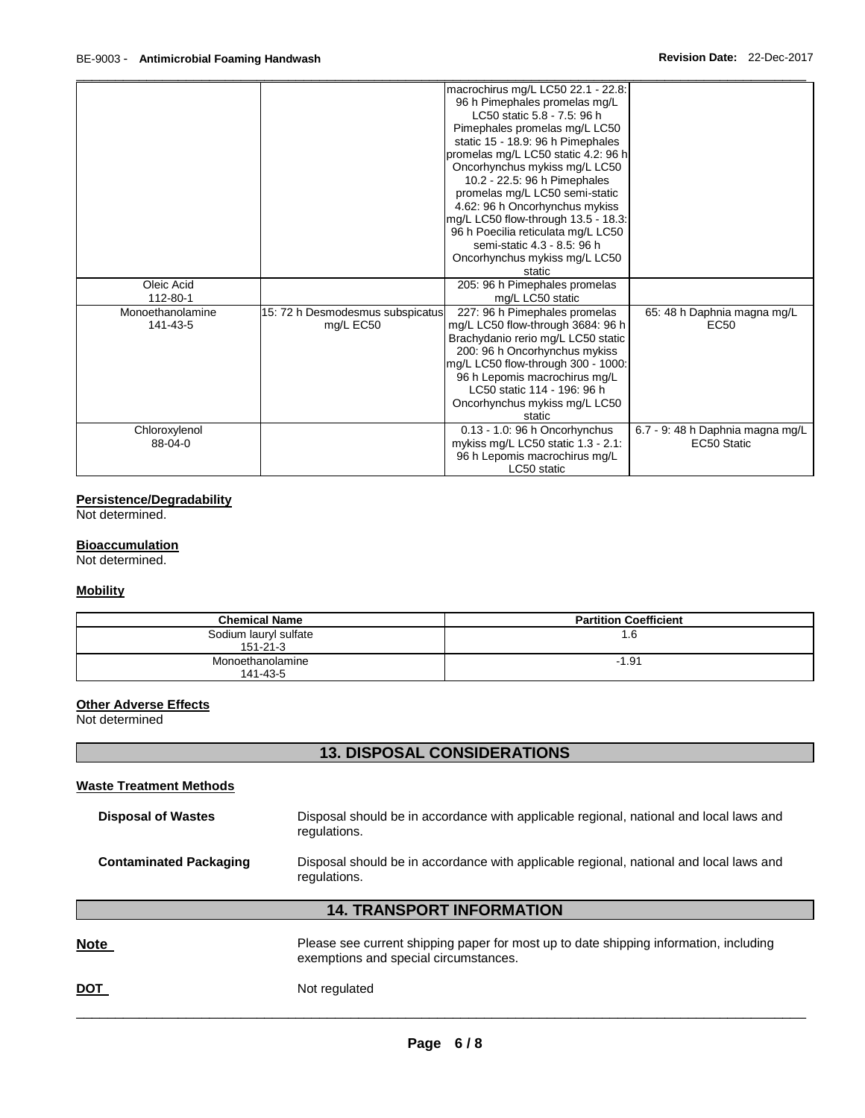|                  |                                  | macrochirus mg/L LC50 22.1 - 22.8:  |                                  |
|------------------|----------------------------------|-------------------------------------|----------------------------------|
|                  |                                  | 96 h Pimephales promelas mg/L       |                                  |
|                  |                                  | LC50 static 5.8 - 7.5: 96 h         |                                  |
|                  |                                  | Pimephales promelas mg/L LC50       |                                  |
|                  |                                  | static 15 - 18.9: 96 h Pimephales   |                                  |
|                  |                                  | promelas mg/L LC50 static 4.2: 96 h |                                  |
|                  |                                  | Oncorhynchus mykiss mg/L LC50       |                                  |
|                  |                                  | 10.2 - 22.5: 96 h Pimephales        |                                  |
|                  |                                  | promelas mg/L LC50 semi-static      |                                  |
|                  |                                  | 4.62: 96 h Oncorhynchus mykiss      |                                  |
|                  |                                  | mg/L LC50 flow-through 13.5 - 18.3: |                                  |
|                  |                                  | 96 h Poecilia reticulata mg/L LC50  |                                  |
|                  |                                  | semi-static 4.3 - 8.5: 96 h         |                                  |
|                  |                                  | Oncorhynchus mykiss mg/L LC50       |                                  |
|                  |                                  | static                              |                                  |
| Oleic Acid       |                                  | 205: 96 h Pimephales promelas       |                                  |
| 112-80-1         |                                  | mg/L LC50 static                    |                                  |
| Monoethanolamine |                                  |                                     |                                  |
|                  | 15: 72 h Desmodesmus subspicatus | 227: 96 h Pimephales promelas       | 65: 48 h Daphnia magna mg/L      |
| 141-43-5         | mg/L EC50                        | mg/L LC50 flow-through 3684: 96 h   | <b>EC50</b>                      |
|                  |                                  | Brachydanio rerio mg/L LC50 static  |                                  |
|                  |                                  | 200: 96 h Oncorhynchus mykiss       |                                  |
|                  |                                  | mg/L LC50 flow-through 300 - 1000:  |                                  |
|                  |                                  | 96 h Lepomis macrochirus mg/L       |                                  |
|                  |                                  | LC50 static 114 - 196: 96 h         |                                  |
|                  |                                  | Oncorhynchus mykiss mg/L LC50       |                                  |
|                  |                                  | static                              |                                  |
| Chloroxylenol    |                                  | 0.13 - 1.0: 96 h Oncorhynchus       | 6.7 - 9: 48 h Daphnia magna mg/L |
| 88-04-0          |                                  | mykiss mg/L LC50 static 1.3 - 2.1:  | EC50 Static                      |
|                  |                                  | 96 h Lepomis macrochirus mg/L       |                                  |
|                  |                                  | LC50 static                         |                                  |

#### **Persistence/Degradability**

Not determined.

#### **Bioaccumulation**

Not determined.

### **Mobility**

| <b>Chemical Name</b>  | <b>Partition Coefficient</b> |
|-----------------------|------------------------------|
| Sodium lauryl sulfate | 1.6                          |
| 151-21-3              |                              |
| Monoethanolamine      | $-1.91$                      |
| 141-43-5              |                              |

### **Other Adverse Effects**

Not determined

# **13. DISPOSAL CONSIDERATIONS**

| <b>Waste Treatment Methods</b> |  |
|--------------------------------|--|
|                                |  |

| <b>Disposal of Wastes</b>        | Disposal should be in accordance with applicable regional, national and local laws and<br>regulations.                         |  |  |  |
|----------------------------------|--------------------------------------------------------------------------------------------------------------------------------|--|--|--|
| <b>Contaminated Packaging</b>    | Disposal should be in accordance with applicable regional, national and local laws and<br>regulations.                         |  |  |  |
| <b>14. TRANSPORT INFORMATION</b> |                                                                                                                                |  |  |  |
| <b>Note</b>                      | Please see current shipping paper for most up to date shipping information, including<br>exemptions and special circumstances. |  |  |  |
| <b>DOT</b>                       | Not regulated                                                                                                                  |  |  |  |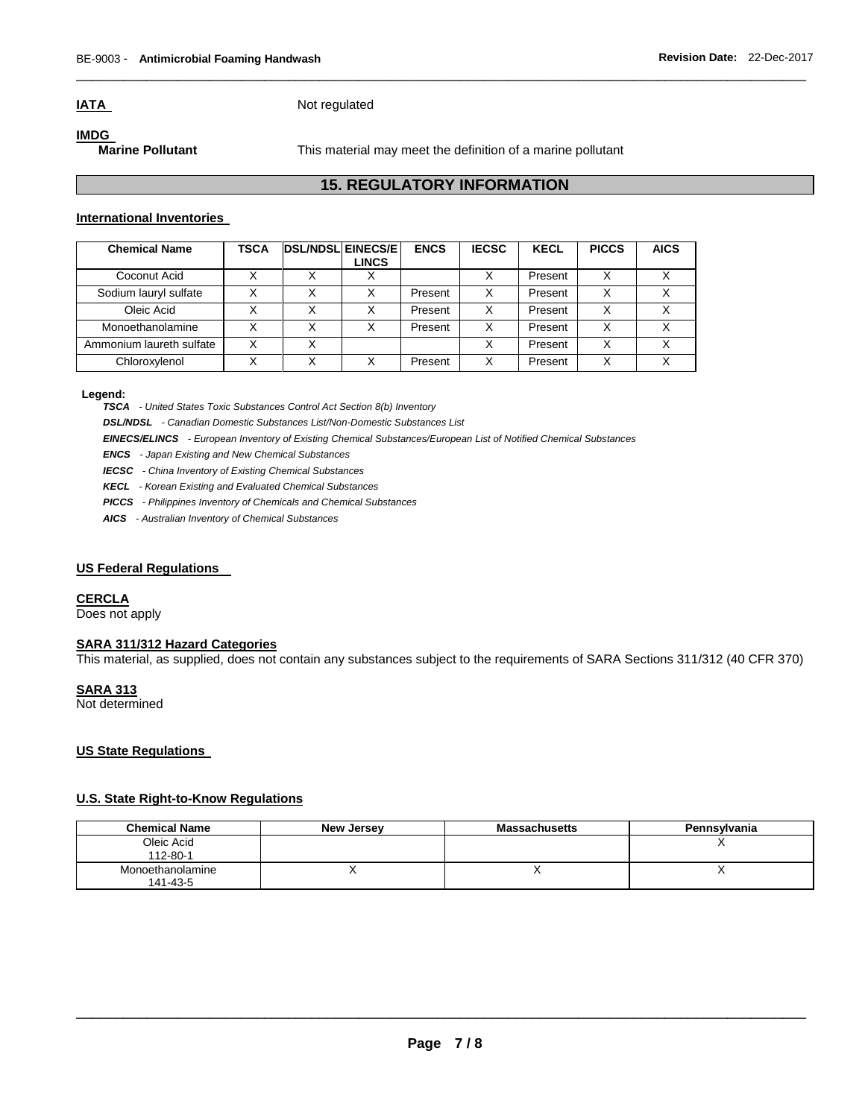**IATA** Not regulated

# **IMDG**<br>**Marine Pollutant**

**Marine Pollutant** This material may meet the definition of a marine pollutant

#### **15. REGULATORY INFORMATION**

\_\_\_\_\_\_\_\_\_\_\_\_\_\_\_\_\_\_\_\_\_\_\_\_\_\_\_\_\_\_\_\_\_\_\_\_\_\_\_\_\_\_\_\_\_\_\_\_\_\_\_\_\_\_\_\_\_\_\_\_\_\_\_\_\_\_\_\_\_\_\_\_\_\_\_\_\_\_\_\_\_\_\_\_\_\_\_\_\_\_\_\_\_

#### **International Inventories**

| <b>Chemical Name</b>     | <b>TSCA</b> | <b>DSL/NDSL EINECS/E</b> | <b>LINCS</b> | <b>ENCS</b> | <b>IECSC</b> | <b>KECL</b> | <b>PICCS</b> | <b>AICS</b>  |
|--------------------------|-------------|--------------------------|--------------|-------------|--------------|-------------|--------------|--------------|
| Coconut Acid             |             |                          |              |             | x            | Present     | Χ            |              |
| Sodium lauryl sulfate    |             |                          |              | Present     | x            | Present     | X            |              |
| Oleic Acid               |             |                          | Χ            | Present     | x            | Present     | x            |              |
| Monoethanolamine         | x           |                          | X            | Present     | x            | Present     | X            | x            |
| Ammonium laureth sulfate | X           |                          |              |             | X            | Present     | X            | $\checkmark$ |
| Chloroxylenol            | v           |                          |              | Present     | X            | Present     | v            |              |

#### **Legend:**

*TSCA - United States Toxic Substances Control Act Section 8(b) Inventory* 

*DSL/NDSL - Canadian Domestic Substances List/Non-Domestic Substances List* 

*EINECS/ELINCS - European Inventory of Existing Chemical Substances/European List of Notified Chemical Substances* 

*ENCS - Japan Existing and New Chemical Substances* 

*IECSC - China Inventory of Existing Chemical Substances* 

*KECL - Korean Existing and Evaluated Chemical Substances* 

*PICCS - Philippines Inventory of Chemicals and Chemical Substances* 

*AICS - Australian Inventory of Chemical Substances* 

#### **US Federal Regulations**

#### **CERCLA**

Does not apply

#### **SARA 311/312 Hazard Categories**

This material, as supplied, does not contain any substances subject to the requirements of SARA Sections 311/312 (40 CFR 370)

#### **SARA 313**

Not determined

#### **US State Regulations**

### **U.S. State Right-to-Know Regulations**

| <b>Chemical Name</b> | New Jersey | <b>Massachusetts</b> | Pennsylvania |
|----------------------|------------|----------------------|--------------|
| Oleic Acid           |            |                      |              |
| 112-80-1             |            |                      |              |
| Monoethanolamine     | ,,         |                      |              |
| 141-43-5             |            |                      |              |